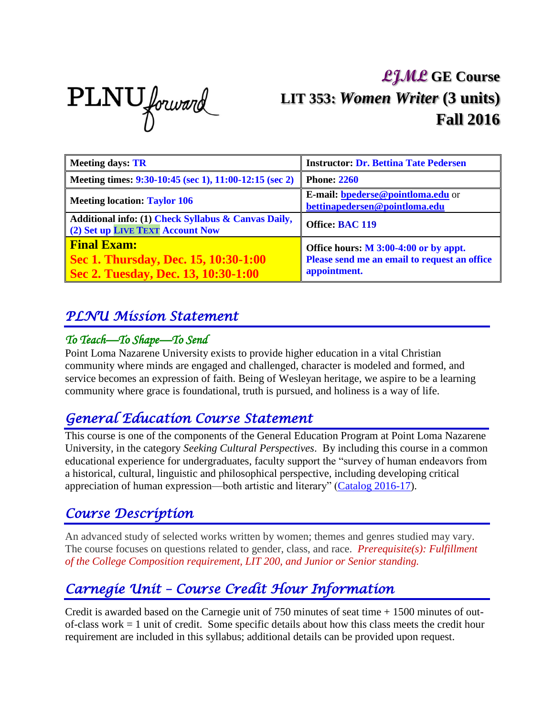PLNU forward

# **LJML GE Course LIT 353:** *Women Writer* **(3 units) Fall 2016**

| <b>Meeting days: TR</b>                                                                           | <b>Instructor: Dr. Bettina Tate Pedersen</b>                                                            |
|---------------------------------------------------------------------------------------------------|---------------------------------------------------------------------------------------------------------|
| Meeting times: 9:30-10:45 (sec 1), 11:00-12:15 (sec 2)                                            | <b>Phone: 2260</b>                                                                                      |
| <b>Meeting location: Taylor 106</b>                                                               | E-mail: <b>bpederse@pointloma.edu</b> or<br>bettinapedersen@pointloma.edu                               |
| Additional info: (1) Check Syllabus & Canvas Daily,<br>(2) Set up LIVE TEXT Account Now           | Office: BAC 119                                                                                         |
| <b>Final Exam:</b><br>Sec 1. Thursday, Dec. 15, 10:30-1:00<br>Sec 2. Tuesday, Dec. 13, 10:30-1:00 | Office hours: $M$ 3:00-4:00 or by appt.<br>Please send me an email to request an office<br>appointment. |

#### *PLNU Mission Statement*

#### *To Teach—To Shape—To Send*

Point Loma Nazarene University exists to provide higher education in a vital Christian community where minds are engaged and challenged, character is modeled and formed, and service becomes an expression of faith. Being of Wesleyan heritage, we aspire to be a learning community where grace is foundational, truth is pursued, and holiness is a way of life.

#### *General Education Course Statement*

This course is one of the components of the General Education Program at Point Loma Nazarene University, in the category *Seeking Cultural Perspectives*. By including this course in a common educational experience for undergraduates, faculty support the "survey of human endeavors from a historical, cultural, linguistic and philosophical perspective, including developing critical appreciation of human expression—both artistic and literary" [\(Catalog 2016-17\)](http://catalog.pointloma.edu/index.php).

#### *Course Description*

An advanced study of selected works written by women; themes and genres studied may vary. The course focuses on questions related to gender, class, and race. *Prerequisite(s): Fulfillment of the College Composition requirement, LIT 200, and Junior or Senior standing.*

### *Carnegie Unit – Course Credit Hour Information*

Credit is awarded based on the Carnegie unit of 750 minutes of seat time + 1500 minutes of outof-class work = 1 unit of credit. Some specific details about how this class meets the credit hour requirement are included in this syllabus; additional details can be provided upon request.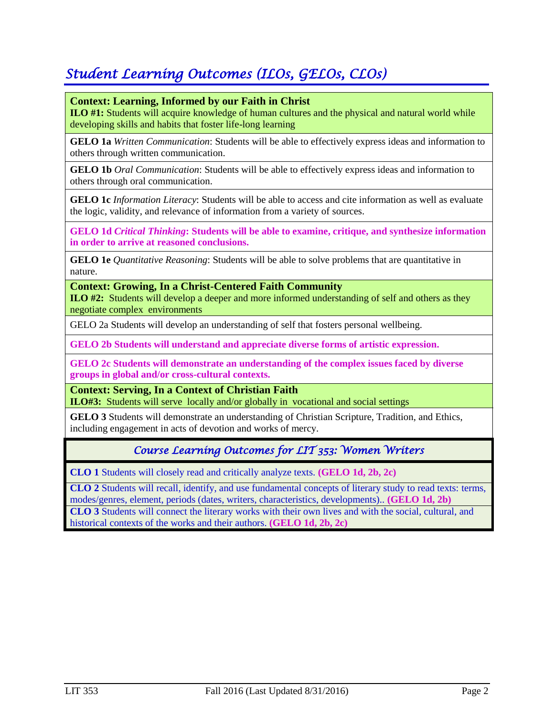## *Student Learning Outcomes (ILOs, GELOs, CLOs)*

#### **Context: Learning, Informed by our Faith in Christ**

**ILO #1:** Students will acquire knowledge of human cultures and the physical and natural world while developing skills and habits that foster life-long learning

**GELO 1a** *Written Communication*: Students will be able to effectively express ideas and information to others through written communication.

**GELO 1b** *Oral Communication*: Students will be able to effectively express ideas and information to others through oral communication.

**GELO 1c** *Information Literacy*: Students will be able to access and cite information as well as evaluate the logic, validity, and relevance of information from a variety of sources.

**GELO 1d** *Critical Thinking***: Students will be able to examine, critique, and synthesize information in order to arrive at reasoned conclusions.**

**GELO 1e** *Quantitative Reasoning*: Students will be able to solve problems that are quantitative in nature.

**Context: Growing, In a Christ-Centered Faith Community**

**ILO #2:** Students will develop a deeper and more informed understanding of self and others as they negotiate complex environments

GELO 2a Students will develop an understanding of self that fosters personal wellbeing.

**GELO 2b Students will understand and appreciate diverse forms of artistic expression.** 

**GELO 2c Students will demonstrate an understanding of the complex issues faced by diverse groups in global and/or cross-cultural contexts.** 

**Context: Serving, In a Context of Christian Faith ILO#3:** Students will serve locally and/or globally in vocational and social settings

**GELO 3** Students will demonstrate an understanding of Christian Scripture, Tradition, and Ethics, including engagement in acts of devotion and works of mercy.

#### *Course Learning Outcomes for LIT 353: Women Writers*

**CLO 1** Students will closely read and critically analyze texts. **(GELO 1d, 2b, 2c)**

**CLO 2** Students will recall, identify, and use fundamental concepts of literary study to read texts: terms, modes/genres, element, periods (dates, writers, characteristics, developments).. **(GELO 1d, 2b) CLO 3** Students will connect the literary works with their own lives and with the social, cultural, and historical contexts of the works and their authors. **(GELO 1d, 2b, 2c)**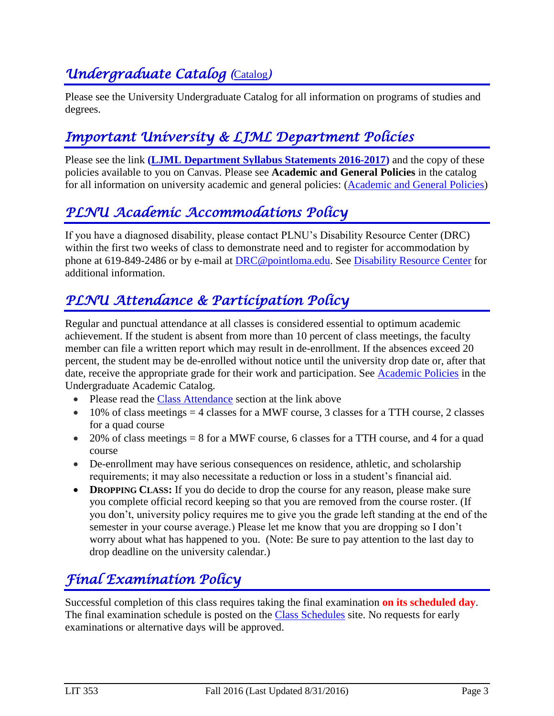## *<u>Undergraduate [Catalog](http://catalog.pointloma.edu/)</u> (Catalog)*

Please see the University Undergraduate Catalog for all information on programs of studies and degrees.

## *Important University & LJML Department Policies*

Please see the link **(LJML [Department](http://www.pointloma.edu/sites/default/files/filemanager/Literature_Journalism__Modern_Languages/LJML_Department_Syllabus_Statments_w_Required_PLNU_Ones_final_8-29_2016-17.pdf) Syllabus Statements 2016-2017)** and the copy of these policies available to you on Canvas. Please see **Academic and General Policies** in the catalog for all information on university academic and general policies: [\(Academic and General Policies\)](http://catalog.pointloma.edu/content.php?catoid=24&navoid=1581)

### *PLNU Academic Accommodations Policy*

If you have a diagnosed disability, please contact PLNU's Disability Resource Center (DRC) within the first two weeks of class to demonstrate need and to register for accommodation by phone at 619-849-2486 or by e-mail at [DRC@pointloma.edu.](mailto:DRC@pointloma.edu) See [Disability Resource Center](http://www.pointloma.edu/experience/offices/administrative-offices/academic-advising-office/disability-resource-center) for additional information.

### *PLNU Attendance & Participation Policy*

Regular and punctual attendance at all classes is considered essential to optimum academic achievement. If the student is absent from more than 10 percent of class meetings, the faculty member can file a written report which may result in de-enrollment. If the absences exceed 20 percent, the student may be de-enrolled without notice until the university drop date or, after that date, receive the appropriate grade for their work and participation. See [Academic Policies](http://catalog.pointloma.edu/content.php?catoid=18&navoid=1278) in the Undergraduate Academic Catalog.

- Please read the [Class Attendance](http://catalog.pointloma.edu/content.php?catoid=24&navoid=1581#Class_Attendance) section at the link above
- $\bullet$  10% of class meetings = 4 classes for a MWF course, 3 classes for a TTH course, 2 classes for a quad course
- $\bullet$  20% of class meetings = 8 for a MWF course, 6 classes for a TTH course, and 4 for a quad course
- De-enrollment may have serious consequences on residence, athletic, and scholarship requirements; it may also necessitate a reduction or loss in a student's financial aid.
- **• DROPPING CLASS:** If you do decide to drop the course for any reason, please make sure you complete official record keeping so that you are removed from the course roster. (If you don't, university policy requires me to give you the grade left standing at the end of the semester in your course average.) Please let me know that you are dropping so I don't worry about what has happened to you. (Note: Be sure to pay attention to the last day to drop deadline on the university calendar.)

## *Final Examination Policy*

Successful completion of this class requires taking the final examination **on its scheduled day**. The final examination schedule is posted on the [Class Schedules](http://www.pointloma.edu/experience/academics/class-schedules) site. No requests for early examinations or alternative days will be approved.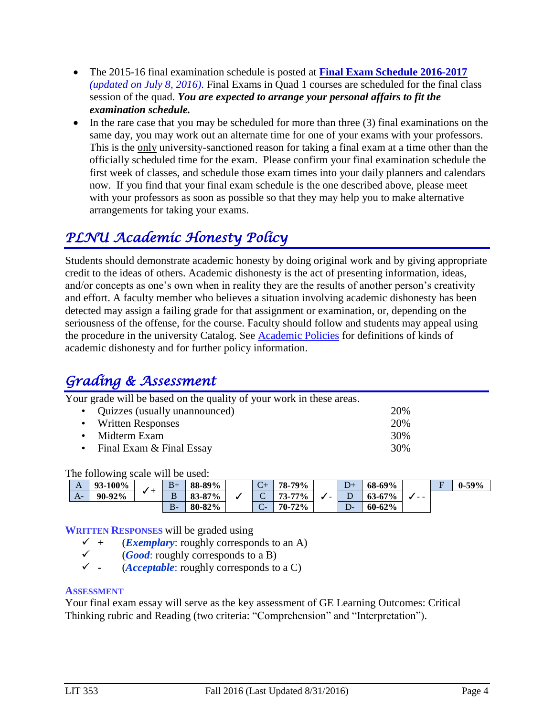- The 2015-16 final examination schedule is posted at **Final Exam Schedule [2016-2017](http://www.pointloma.edu/sites/default/files/filemanager/Academic_Affairs/Schedules/2016-17_Final_Exam_Schedule_-_MAIN_CAMPUS.pdf)** *(updated on July 8, 2016)*. Final Exams in Quad 1 courses are scheduled for the final class session of the quad. *You are expected to arrange your personal affairs to fit the examination schedule.*
- In the rare case that you may be scheduled for more than three (3) final examinations on the same day, you may work out an alternate time for one of your exams with your professors. This is the only university-sanctioned reason for taking a final exam at a time other than the officially scheduled time for the exam. Please confirm your final examination schedule the first week of classes, and schedule those exam times into your daily planners and calendars now. If you find that your final exam schedule is the one described above, please meet with your professors as soon as possible so that they may help you to make alternative arrangements for taking your exams.

## *PLNU Academic Honesty Policy*

Students should demonstrate academic honesty by doing original work and by giving appropriate credit to the ideas of others. Academic dishonesty is the act of presenting information, ideas, and/or concepts as one's own when in reality they are the results of another person's creativity and effort. A faculty member who believes a situation involving academic dishonesty has been detected may assign a failing grade for that assignment or examination, or, depending on the seriousness of the offense, for the course. Faculty should follow and students may appeal using the procedure in the university Catalog. See [Academic Policies](http://catalog.pointloma.edu/content.php?catoid=18&navoid=1278) for definitions of kinds of academic dishonesty and for further policy information.

#### *Grading & Assessment*

Your grade will be based on the quality of your work in these areas.

| • Quizzes (usually unannounced) | 20% |
|---------------------------------|-----|
| • Written Responses             | 20% |
| $\bullet$ Midterm Exam          | 30% |
| • Final Exam $&$ Final Essay    | 30% |

The following scale will be used:

|      |                | .  |            | .                |                      |        |   |         |            |      |                          |           |
|------|----------------|----|------------|------------------|----------------------|--------|---|---------|------------|------|--------------------------|-----------|
| A    | <b>93-100%</b> |    | $B+$       | 88-89%           | $\sqrt{2}$<br>$\sim$ | 78-79% | - |         | 68-69%     | $ -$ | $\overline{\phantom{0}}$ | $0 - 59%$ |
| $A-$ | 90-92%         | -- | B          | $-87\%$<br>83-87 | ∼<br>◡               | 73-77% |   | ∽<br>╍  | $63 - 67%$ |      |                          |           |
|      |                |    | D.<br>- DF | 80-82%           | $\sqrt{ }$<br>◡      | 70-72% |   | n.<br>┚ | $60 - 62%$ |      |                          |           |

**WRITTEN RESPONSES** will be graded using

- $\checkmark$  + (*Exemplary*: roughly corresponds to an A)
- (*Good*: roughly corresponds to a B)
- **-** (*Acceptable*: roughly corresponds to a C)

#### **ASSESSMENT**

Your final exam essay will serve as the key assessment of GE Learning Outcomes: Critical Thinking rubric and Reading (two criteria: "Comprehension" and "Interpretation").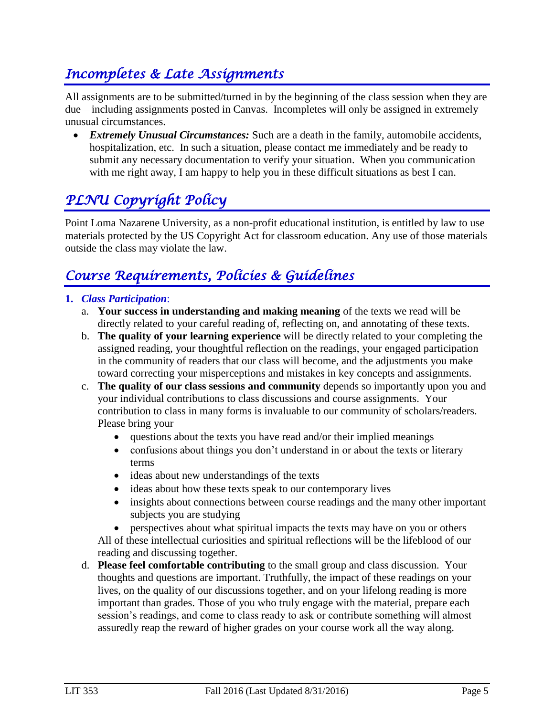### *Incompletes & Late Assignments*

All assignments are to be submitted/turned in by the beginning of the class session when they are due—including assignments posted in Canvas. Incompletes will only be assigned in extremely unusual circumstances.

 *Extremely Unusual Circumstances:* Such are a death in the family, automobile accidents, hospitalization, etc. In such a situation, please contact me immediately and be ready to submit any necessary documentation to verify your situation. When you communication with me right away, I am happy to help you in these difficult situations as best I can.

## *PLNU Copyright Policy*

Point Loma Nazarene University, as a non-profit educational institution, is entitled by law to use materials protected by the US Copyright Act for classroom education. Any use of those materials outside the class may violate the law.

### *Course Requirements, Policies & Guidelines*

#### **1.** *Class Participation*:

- a. **Your success in understanding and making meaning** of the texts we read will be directly related to your careful reading of, reflecting on, and annotating of these texts.
- b. **The quality of your learning experience** will be directly related to your completing the assigned reading, your thoughtful reflection on the readings, your engaged participation in the community of readers that our class will become, and the adjustments you make toward correcting your misperceptions and mistakes in key concepts and assignments.
- c. **The quality of our class sessions and community** depends so importantly upon you and your individual contributions to class discussions and course assignments. Your contribution to class in many forms is invaluable to our community of scholars/readers. Please bring your
	- questions about the texts you have read and/or their implied meanings
	- confusions about things you don't understand in or about the texts or literary terms
	- ideas about new understandings of the texts
	- ideas about how these texts speak to our contemporary lives
	- insights about connections between course readings and the many other important subjects you are studying

 perspectives about what spiritual impacts the texts may have on you or others All of these intellectual curiosities and spiritual reflections will be the lifeblood of our reading and discussing together.

d. **Please feel comfortable contributing** to the small group and class discussion. Your thoughts and questions are important. Truthfully, the impact of these readings on your lives, on the quality of our discussions together, and on your lifelong reading is more important than grades. Those of you who truly engage with the material, prepare each session's readings, and come to class ready to ask or contribute something will almost assuredly reap the reward of higher grades on your course work all the way along.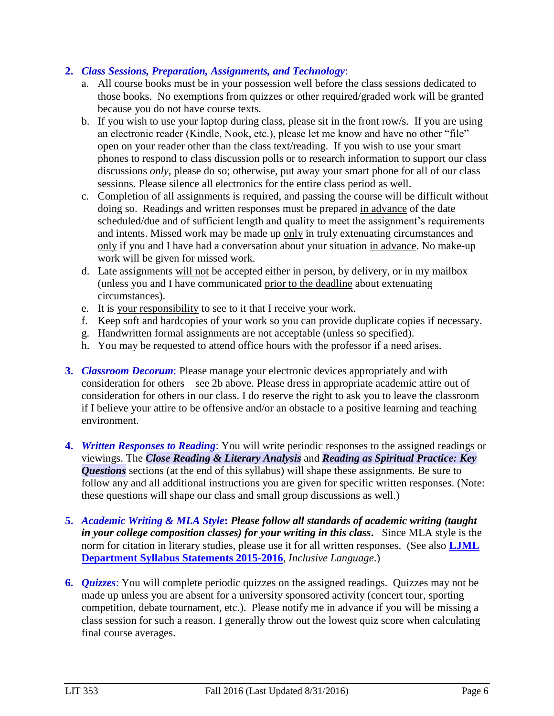#### **2.** *Class Sessions, Preparation, Assignments, and Technology*:

- a. All course books must be in your possession well before the class sessions dedicated to those books. No exemptions from quizzes or other required/graded work will be granted because you do not have course texts.
- b. If you wish to use your laptop during class, please sit in the front row/s. If you are using an electronic reader (Kindle, Nook, etc.), please let me know and have no other "file" open on your reader other than the class text/reading. If you wish to use your smart phones to respond to class discussion polls or to research information to support our class discussions *only*, please do so; otherwise, put away your smart phone for all of our class sessions. Please silence all electronics for the entire class period as well.
- c. Completion of all assignments is required, and passing the course will be difficult without doing so. Readings and written responses must be prepared in advance of the date scheduled/due and of sufficient length and quality to meet the assignment's requirements and intents. Missed work may be made up only in truly extenuating circumstances and only if you and I have had a conversation about your situation in advance. No make-up work will be given for missed work.
- d. Late assignments will not be accepted either in person, by delivery, or in my mailbox (unless you and I have communicated prior to the deadline about extenuating circumstances).
- e. It is your responsibility to see to it that I receive your work.
- f. Keep soft and hardcopies of your work so you can provide duplicate copies if necessary.
- g. Handwritten formal assignments are not acceptable (unless so specified).
- h. You may be requested to attend office hours with the professor if a need arises.
- **3.** *Classroom Decorum*: Please manage your electronic devices appropriately and with consideration for others—see 2b above. Please dress in appropriate academic attire out of consideration for others in our class. I do reserve the right to ask you to leave the classroom if I believe your attire to be offensive and/or an obstacle to a positive learning and teaching environment.
- **4.** *Written Responses to Reading*: You will write periodic responses to the assigned readings or viewings. The *Close Reading & Literary Analysis* and *Reading as Spiritual Practice: Key Questions* sections (at the end of this syllabus) will shape these assignments. Be sure to follow any and all additional instructions you are given for specific written responses. (Note: these questions will shape our class and small group discussions as well.)
- **5.** *Academic Writing & MLA Style***:** *Please follow all standards of academic writing (taught in your college composition classes) for your writing in this class***.** Since MLA style is the norm for citation in literary studies, please use it for all written responses. (See also **[LJML](http://www.pointloma.edu/sites/default/files/filemanager/Literature_Journalism__Modern_Languages/LJML_Department_Syllabus_Statments_final_2015-16.pdf) [Department](http://www.pointloma.edu/sites/default/files/filemanager/Literature_Journalism__Modern_Languages/LJML_Department_Syllabus_Statments_final_2015-16.pdf) Syllabus Statements 2015-2016**, *Inclusive Language*.)
- **6.** *Quizzes*: You will complete periodic quizzes on the assigned readings. Quizzes may not be made up unless you are absent for a university sponsored activity (concert tour, sporting competition, debate tournament, etc.). Please notify me in advance if you will be missing a class session for such a reason. I generally throw out the lowest quiz score when calculating final course averages.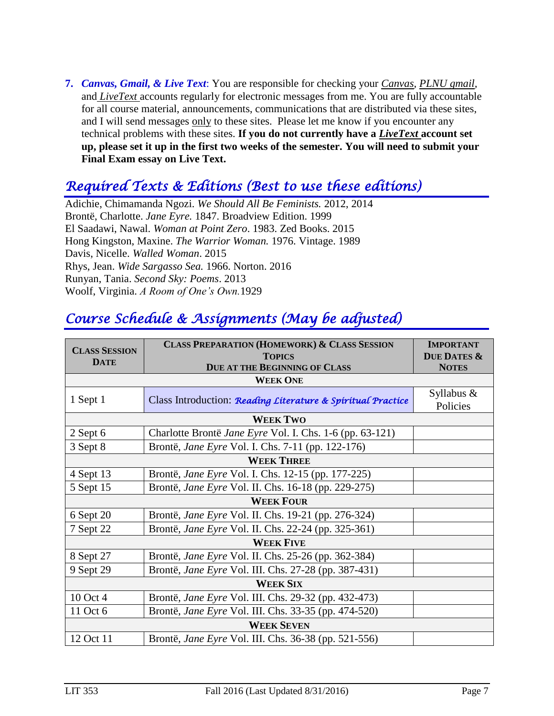**7.** *Canvas, Gmail, & Live Text*: You are responsible for checking your *Canvas, PLNU gmail,*  and *LiveText* accounts regularly for electronic messages from me. You are fully accountable for all course material, announcements, communications that are distributed via these sites, and I will send messages only to these sites. Please let me know if you encounter any technical problems with these sites. **If you do not currently have a** *LiveText* **account set up, please set it up in the first two weeks of the semester. You will need to submit your Final Exam essay on Live Text.**

#### *Required Texts & Editions (Best to use these editions)*

Adichie, Chimamanda Ngozi. *We Should All Be Feminists.* 2012, 2014 Brontë, Charlotte. *Jane Eyre.* 1847. Broadview Edition. 1999 El Saadawi, Nawal. *Woman at Point Zero*. 1983. Zed Books. 2015 Hong Kingston, Maxine. *The Warrior Woman.* 1976. Vintage. 1989 Davis, Nicelle. *Walled Woman*. 2015 Rhys, Jean. *Wide Sargasso Sea.* 1966. Norton. 2016 Runyan, Tania. *Second Sky: Poems*. 2013 Woolf, Virginia. *A Room of One's Own.*1929

## *Course Schedule & Assignments (May be adjusted)*

| <b>CLASS SESSION</b> | <b>CLASS PREPARATION (HOMEWORK) &amp; CLASS SESSION</b>     | <b>IMPORTANT</b>                       |  |  |  |  |  |
|----------------------|-------------------------------------------------------------|----------------------------------------|--|--|--|--|--|
| <b>DATE</b>          | <b>TOPICS</b><br><b>DUE AT THE BEGINNING OF CLASS</b>       | <b>DUE DATES &amp;</b><br><b>NOTES</b> |  |  |  |  |  |
|                      |                                                             |                                        |  |  |  |  |  |
|                      | Syllabus $\&$                                               |                                        |  |  |  |  |  |
| 1 Sept 1             | Class Introduction: Reading Literature & Spiritual Practice | Policies                               |  |  |  |  |  |
| <b>WEEK TWO</b>      |                                                             |                                        |  |  |  |  |  |
| $2$ Sept 6           | Charlotte Brontë Jane Eyre Vol. I. Chs. 1-6 (pp. 63-121)    |                                        |  |  |  |  |  |
| 3 Sept 8             | Brontë, Jane Eyre Vol. I. Chs. 7-11 (pp. 122-176)           |                                        |  |  |  |  |  |
| <b>WEEK THREE</b>    |                                                             |                                        |  |  |  |  |  |
| 4 Sept 13            | Brontë, <i>Jane Eyre</i> Vol. I. Chs. 12-15 (pp. 177-225)   |                                        |  |  |  |  |  |
| 5 Sept 15            | Brontë, <i>Jane Eyre</i> Vol. II. Chs. 16-18 (pp. 229-275)  |                                        |  |  |  |  |  |
|                      | <b>WEEK FOUR</b>                                            |                                        |  |  |  |  |  |
| 6 Sept 20            | Brontë, <i>Jane Eyre</i> Vol. II. Chs. 19-21 (pp. 276-324)  |                                        |  |  |  |  |  |
| 7 Sept 22            | Brontë, Jane Eyre Vol. II. Chs. 22-24 (pp. 325-361)         |                                        |  |  |  |  |  |
| <b>WEEK FIVE</b>     |                                                             |                                        |  |  |  |  |  |
| 8 Sept 27            | Brontë, Jane Eyre Vol. II. Chs. 25-26 (pp. 362-384)         |                                        |  |  |  |  |  |
| 9 Sept 29            | Brontë, Jane Eyre Vol. III. Chs. 27-28 (pp. 387-431)        |                                        |  |  |  |  |  |
| <b>WEEK SIX</b>      |                                                             |                                        |  |  |  |  |  |
| 10 Oct 4             | Brontë, Jane Eyre Vol. III. Chs. 29-32 (pp. 432-473)        |                                        |  |  |  |  |  |
| 11 Oct 6             | Brontë, Jane Eyre Vol. III. Chs. 33-35 (pp. 474-520)        |                                        |  |  |  |  |  |
| <b>WEEK SEVEN</b>    |                                                             |                                        |  |  |  |  |  |
| 12 Oct 11            | Brontë, Jane Eyre Vol. III. Chs. 36-38 (pp. 521-556)        |                                        |  |  |  |  |  |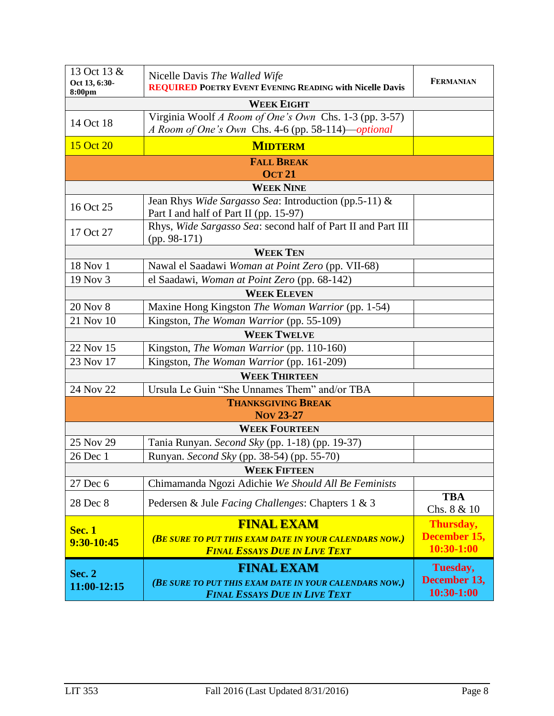| 13 Oct 13 &<br>Oct 13, 6:30-<br>8:00pm | Nicelle Davis The Walled Wife<br><b>REQUIRED POETRY EVENT EVENING READING with Nicelle Davis</b>             | <b>FERMANIAN</b>          |  |  |  |  |
|----------------------------------------|--------------------------------------------------------------------------------------------------------------|---------------------------|--|--|--|--|
| <b>WEEK EIGHT</b>                      |                                                                                                              |                           |  |  |  |  |
| 14 Oct 18                              | Virginia Woolf A Room of One's Own Chs. 1-3 (pp. 3-57)<br>A Room of One's Own Chs. 4-6 (pp. 58-114)-optional |                           |  |  |  |  |
| 15 Oct 20                              | <b>MIDTERM</b>                                                                                               |                           |  |  |  |  |
| <b>FALL BREAK</b>                      |                                                                                                              |                           |  |  |  |  |
|                                        | <b>OCT 21</b><br><b>WEEK NINE</b>                                                                            |                           |  |  |  |  |
|                                        |                                                                                                              |                           |  |  |  |  |
| 16 Oct 25                              | Jean Rhys Wide Sargasso Sea: Introduction (pp.5-11) &<br>Part I and half of Part II (pp. 15-97)              |                           |  |  |  |  |
| 17 Oct 27                              | Rhys, Wide Sargasso Sea: second half of Part II and Part III<br>$(pp. 98-171)$                               |                           |  |  |  |  |
|                                        | <b>WEEK TEN</b>                                                                                              |                           |  |  |  |  |
| 18 Nov 1                               | Nawal el Saadawi Woman at Point Zero (pp. VII-68)                                                            |                           |  |  |  |  |
| 19 Nov 3                               | el Saadawi, Woman at Point Zero (pp. 68-142)                                                                 |                           |  |  |  |  |
|                                        | <b>WEEK ELEVEN</b>                                                                                           |                           |  |  |  |  |
| <b>20 Nov 8</b>                        | Maxine Hong Kingston The Woman Warrior (pp. 1-54)                                                            |                           |  |  |  |  |
| 21 Nov 10                              | Kingston, The Woman Warrior (pp. 55-109)                                                                     |                           |  |  |  |  |
|                                        | <b>WEEK TWELVE</b>                                                                                           |                           |  |  |  |  |
| 22 Nov 15                              | Kingston, The Woman Warrior (pp. 110-160)                                                                    |                           |  |  |  |  |
| 23 Nov 17                              | Kingston, The Woman Warrior (pp. 161-209)                                                                    |                           |  |  |  |  |
|                                        | <b>WEEK THIRTEEN</b>                                                                                         |                           |  |  |  |  |
| 24 Nov 22                              | Ursula Le Guin "She Unnames Them" and/or TBA                                                                 |                           |  |  |  |  |
|                                        | <b>THANKSGIVING BREAK</b>                                                                                    |                           |  |  |  |  |
|                                        | <b>Nov 23-27</b>                                                                                             |                           |  |  |  |  |
|                                        | <b>WEEK FOURTEEN</b>                                                                                         |                           |  |  |  |  |
| 25 Nov 29                              | Tania Runyan. Second Sky (pp. 1-18) (pp. 19-37)                                                              |                           |  |  |  |  |
| 26 Dec 1                               | Runyan. Second Sky (pp. 38-54) (pp. 55-70)                                                                   |                           |  |  |  |  |
| <b>WEEK FIFTEEN</b>                    |                                                                                                              |                           |  |  |  |  |
| 27 Dec 6                               | Chimamanda Ngozi Adichie We Should All Be Feminists                                                          |                           |  |  |  |  |
| 28 Dec 8                               | Pedersen & Jule Facing Challenges: Chapters 1 & 3                                                            | <b>TBA</b><br>Chs. 8 & 10 |  |  |  |  |
| <b>Sec. 1</b>                          | <b>FINAL EXAM</b>                                                                                            | Thursday,                 |  |  |  |  |
| 9:30-10:45                             | <b>(BE SURE TO PUT THIS EXAM DATE IN YOUR CALENDARS NOW.)</b>                                                | December 15,              |  |  |  |  |
|                                        | <b>FINAL ESSAYS DUE IN LIVE TEXT</b>                                                                         | 10:30-1:00                |  |  |  |  |
|                                        | <b>FINAL EXAM</b>                                                                                            | Tuesday,                  |  |  |  |  |
| <b>Sec. 2</b><br>11:00-12:15           | (BE SURE TO PUT THIS EXAM DATE IN YOUR CALENDARS NOW.)                                                       | December 13,              |  |  |  |  |
|                                        | <b>FINAL ESSAYS DUE IN LIVE TEXT</b>                                                                         | 10:30-1:00                |  |  |  |  |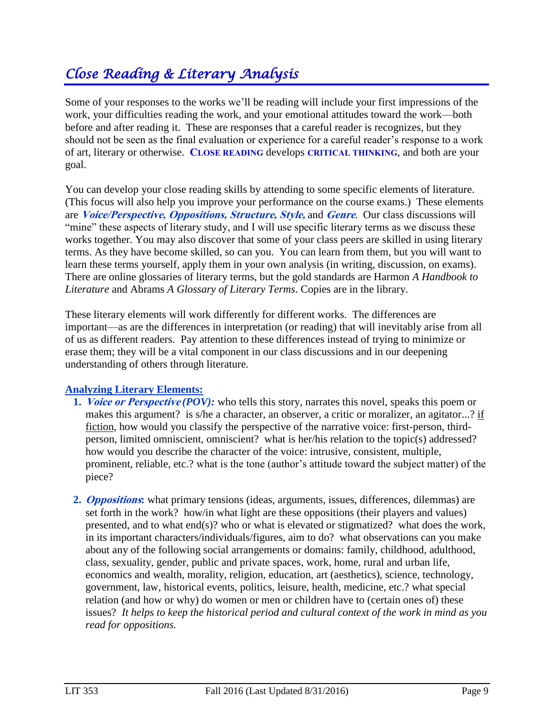## *Close Reading & Literary Analysis*

Some of your responses to the works we'll be reading will include your first impressions of the work, your difficulties reading the work, and your emotional attitudes toward the work—both before and after reading it. These are responses that a careful reader is recognizes, but they should not be seen as the final evaluation or experience for a careful reader's response to a work of art, literary or otherwise. **CLOSE READING** develops **CRITICAL THINKING**, and both are your goal.

You can develop your close reading skills by attending to some specific elements of literature. (This focus will also help you improve your performance on the course exams.) These elements are **Voice/Perspective, Oppositions, Structure, Style,** and **Genre**. Our class discussions will "mine" these aspects of literary study, and I will use specific literary terms as we discuss these works together. You may also discover that some of your class peers are skilled in using literary terms. As they have become skilled, so can you. You can learn from them, but you will want to learn these terms yourself, apply them in your own analysis (in writing, discussion, on exams). There are online glossaries of literary terms, but the gold standards are Harmon *A Handbook to Literature* and Abrams *A Glossary of Literary Terms*. Copies are in the library.

These literary elements will work differently for different works. The differences are important—as are the differences in interpretation (or reading) that will inevitably arise from all of us as different readers. Pay attention to these differences instead of trying to minimize or erase them; they will be a vital component in our class discussions and in our deepening understanding of others through literature.

#### **Analyzing Literary Elements:**

- **1. Voice or Perspective** *(POV):* who tells this story, narrates this novel, speaks this poem or makes this argument? is s/he a character, an observer, a critic or moralizer, an agitator...? if fiction, how would you classify the perspective of the narrative voice: first-person, thirdperson, limited omniscient, omniscient? what is her/his relation to the topic(s) addressed? how would you describe the character of the voice: intrusive, consistent, multiple, prominent, reliable, etc.? what is the tone (author's attitude toward the subject matter) of the piece?
- **2. Oppositions:** what primary tensions (ideas, arguments, issues, differences, dilemmas) are set forth in the work? how/in what light are these oppositions (their players and values) presented, and to what end(s)? who or what is elevated or stigmatized? what does the work, in its important characters/individuals/figures, aim to do? what observations can you make about any of the following social arrangements or domains: family, childhood, adulthood, class, sexuality, gender, public and private spaces, work, home, rural and urban life, economics and wealth, morality, religion, education, art (aesthetics), science, technology, government, law, historical events, politics, leisure, health, medicine, etc.? what special relation (and how or why) do women or men or children have to (certain ones of) these issues? *It helps to keep the historical period and cultural context of the work in mind as you read for oppositions.*